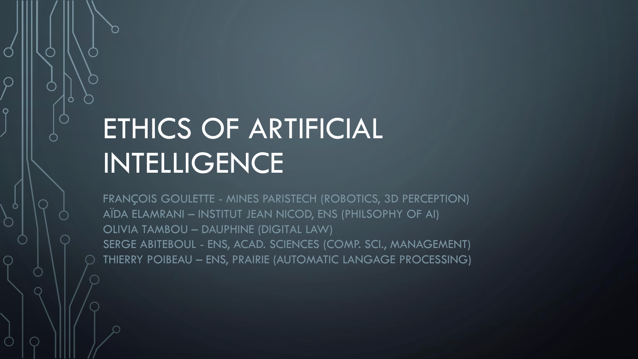# ETHICS OF ARTIFICIAL INTELLIGENCE

FRANÇOIS GOULETTE - MINES PARISTECH (ROBOTICS, 3D PERCEPTION) AÏDA ELAMRANI – INSTITUT JEAN NICOD, ENS (PHILSOPHY OF AI) OLIVIA TAMBOU – DAUPHINE (DIGITAL LAW) SERGE ABITEBOUL - ENS, ACAD. SCIENCES (COMP. SCI., MANAGEMENT) THIERRY POIBEAU – ENS, PRAIRIE (AUTOMATIC LANGAGE PROCESSING)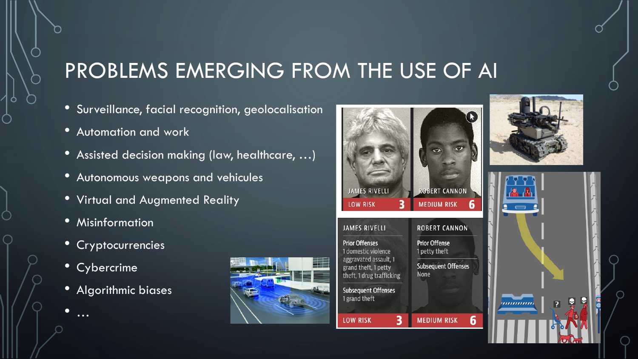## PROBLEMS EMERGING FROM THE USE OF AI

- Surveillance, facial recognition, geolocalisation
- Automation and work
- Assisted decision making (law, healthcare, …)
- Autonomous weapons and vehicules
- Virtual and Augmented Reality
- Misinformation
- Cryptocurrencies
- Cybercrime

• …

• Algorithmic biases







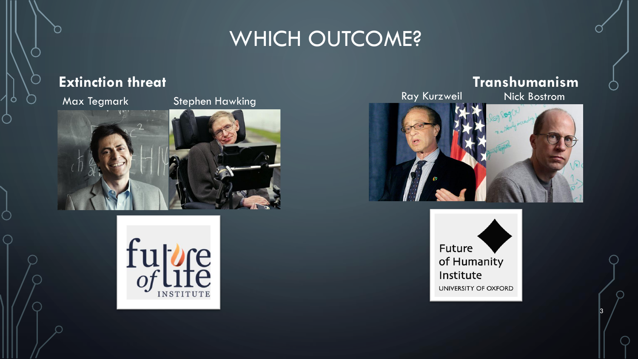## WHICH OUTCOME?

### **Extinction threat Transhumanism**





3



Future of Humanity Institute UNIVERSITY OF OXFORD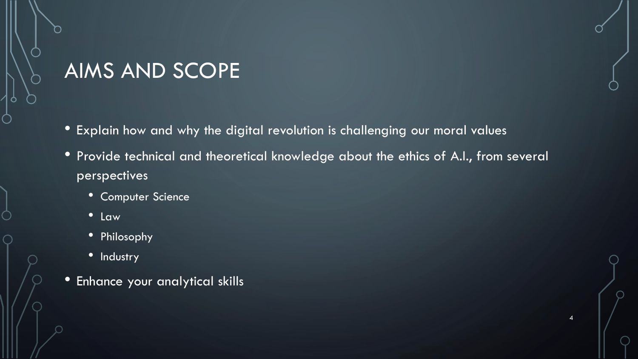## AIMS AND SCOPE

- Explain how and why the digital revolution is challenging our moral values
- Provide technical and theoretical knowledge about the ethics of A.I., from several perspectives

4

- Computer Science
- Law
- Philosophy
- Industry
- Enhance your analytical skills